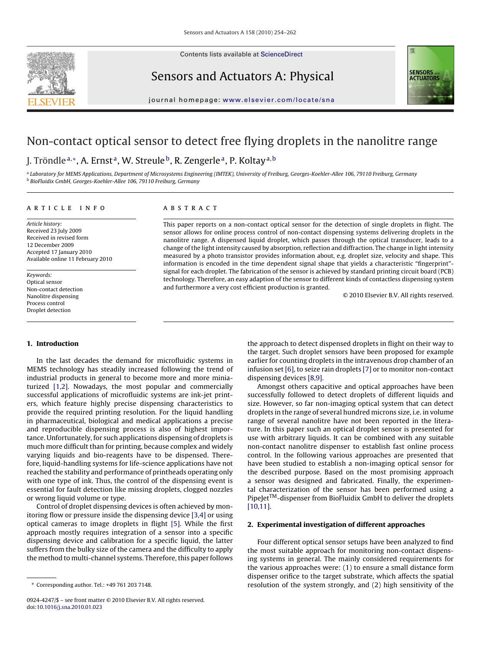Contents lists available at [ScienceDirect](http://www.sciencedirect.com/science/journal/09244247)

Sensors and Actuators A: Physical



journal homepage: [www.elsevier.com/locate/sna](http://www.elsevier.com/locate/sna)

# Non-contact optical sensor to detect free flying droplets in the nanolitre range

## J. Tröndle<sup>a,∗</sup>, A. Ernst<sup>a</sup>, W. Streule<sup>b</sup>, R. Zengerle<sup>a</sup>, P. Koltay<sup>a, b</sup>

a Laboratory for MEMS Applications, Department of Microsystems Engineering (IMTEK), University of Freiburg, Georges-Koehler-Allee 106, 79110 Freiburg, Germany <sup>b</sup> BioFluidix GmbH, Georges-Koehler-Allee 106, 79110 Freiburg, Germany

### article info

Article history: Received 23 July 2009 Received in revised form 12 December 2009 Accepted 17 January 2010 Available online 11 February 2010

Keywords: Optical sensor Non-contact detection Nanolitre dispensing Process control Droplet detection

### **1. Introduction**

In the last decades the demand for microfluidic systems in MEMS technology has steadily increased following the trend of industrial products in general to become more and more miniaturized [\[1,2\].](#page-7-0) Nowadays, the most popular and commercially successful applications of microfluidic systems are ink-jet printers, which feature highly precise dispensing characteristics to provide the required printing resolution. For the liquid handling in pharmaceutical, biological and medical applications a precise and reproducible dispensing process is also of highest importance. Unfortunately, for such applications dispensing of droplets is much more difficult than for printing, because complex and widely varying liquids and bio-reagents have to be dispensed. Therefore, liquid-handling systems for life-science applications have not reached the stability and performance of printheads operating only with one type of ink. Thus, the control of the dispensing event is essential for fault detection like missing droplets, clogged nozzles or wrong liquid volume or type.

Control of droplet dispensing devices is often achieved by monitoring flow or pressure inside the dispensing device [\[3,4\]](#page-7-0) or using optical cameras to image droplets in flight [\[5\].](#page-7-0) While the first approach mostly requires integration of a sensor into a specific dispensing device and calibration for a specific liquid, the latter suffers from the bulky size of the camera and the difficulty to apply the method to multi-channel systems. Therefore, this paper follows

### ABSTRACT

This paper reports on a non-contact optical sensor for the detection of single droplets in flight. The sensor allows for online process control of non-contact dispensing systems delivering droplets in the nanolitre range. A dispensed liquid droplet, which passes through the optical transducer, leads to a change of the light intensity caused by absorption, reflection and diffraction. The change in light intensity measured by a photo transistor provides information about, e.g. droplet size, velocity and shape. This information is encoded in the time dependent signal shape that yields a characteristic "fingerprint" signal for each droplet. The fabrication of the sensor is achieved by standard printing circuit board (PCB) technology. Therefore, an easy adaption of the sensor to different kinds of contactless dispensing system and furthermore a very cost efficient production is granted.

© 2010 Elsevier B.V. All rights reserved.

the approach to detect dispensed droplets in flight on their way to the target. Such droplet sensors have been proposed for example earlier for counting droplets in the intravenous drop chamber of an infusion set [\[6\], t](#page-7-0)o seize rain droplets [\[7\]](#page-7-0) or to monitor non-contact dispensing devices [\[8,9\].](#page-7-0)

Amongst others capacitive and optical approaches have been successfully followed to detect droplets of different liquids and size. However, so far non-imaging optical system that can detect droplets in the range of several hundred microns size, i.e. in volume range of several nanolitre have not been reported in the literature. In this paper such an optical droplet sensor is presented for use with arbitrary liquids. It can be combined with any suitable non-contact nanolitre dispenser to establish fast online process control. In the following various approaches are presented that have been studied to establish a non-imaging optical sensor for the described purpose. Based on the most promising approach a sensor was designed and fabricated. Finally, the experimental characterization of the sensor has been performed using a PipeJetTM-dispenser from BioFluidix GmbH to deliver the droplets [\[10,11\].](#page-7-0)

### **2. Experimental investigation of different approaches**

Four different optical sensor setups have been analyzed to find the most suitable approach for monitoring non-contact dispensing systems in general. The mainly considered requirements for the various approaches were: (1) to ensure a small distance form dispenser orifice to the target substrate, which affects the spatial resolution of the system strongly, and (2) high sensitivity of the

<sup>∗</sup> Corresponding author. Tel.: +49 761 203 7148.

<sup>0924-4247/\$ –</sup> see front matter © 2010 Elsevier B.V. All rights reserved. doi:[10.1016/j.sna.2010.01.023](dx.doi.org/10.1016/j.sna.2010.01.023)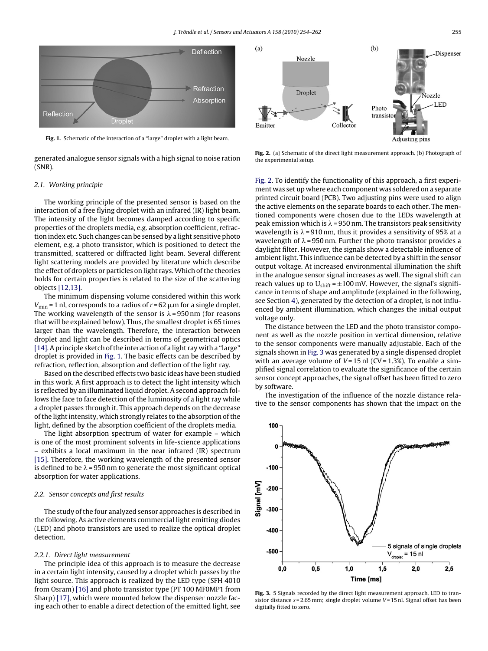<span id="page-1-0"></span>

**Fig. 1.** Schematic of the interaction of a "large" droplet with a light beam.

generated analogue sensor signals with a high signal to noise ration (SNR).

### 2.1. Working principle

The working principle of the presented sensor is based on the interaction of a free flying droplet with an infrared (IR) light beam. The intensity of the light becomes damped according to specific properties of the droplets media, e.g. absorption coefficient, refraction index etc. Such changes can be sensed by a light sensitive photo element, e.g. a photo transistor, which is positioned to detect the transmitted, scattered or diffracted light beam. Several different light scattering models are provided by literature which describe the effect of droplets or particles on light rays.Which of the theories holds for certain properties is related to the size of the scattering objects [\[12,13\].](#page-7-0)

The minimum dispensing volume considered within this work  $V_{\rm min}$  = 1 nl, corresponds to a radius of  $r$  = 62  $\mu$ m for a single droplet. The working wavelength of the sensor is  $\lambda$  = 950 nm (for reasons that will be explained below). Thus, the smallest droplet is 65 times larger than the wavelength. Therefore, the interaction between droplet and light can be described in terms of geometrical optics [\[14\]. A](#page-7-0) principle sketch of the interaction of a light ray with a "large" droplet is provided in Fig. 1. The basic effects can be described by refraction, reflection, absorption and deflection of the light ray.

Based on the described effects two basic ideas have been studied in this work. A first approach is to detect the light intensity which is reflected by an illuminated liquid droplet. A second approach follows the face to face detection of the luminosity of a light ray while a droplet passes through it. This approach depends on the decrease of the light intensity, which strongly relates to the absorption of the light, defined by the absorption coefficient of the droplets media.

The light absorption spectrum of water for example – which is one of the most prominent solvents in life-science applications – exhibits a local maximum in the near infrared (IR) spectrum [\[15\].](#page-7-0) Therefore, the working wavelength of the presented sensor is defined to be  $\lambda$  = 950 nm to generate the most significant optical absorption for water applications.

### 2.2. Sensor concepts and first results

The study of the four analyzed sensor approaches is described in the following. As active elements commercial light emitting diodes (LED) and photo transistors are used to realize the optical droplet detection.

### 2.2.1. Direct light measurement

The principle idea of this approach is to measure the decrease in a certain light intensity, caused by a droplet which passes by the light source. This approach is realized by the LED type (SFH 4010 from Osram) [\[16\]](#page-7-0) and photo transistor type (PT 100 MF0MP1 from Sharp) [\[17\], w](#page-7-0)hich were mounted below the dispenser nozzle facing each other to enable a direct detection of the emitted light, see



**Fig. 2.** (a) Schematic of the direct light measurement approach. (b) Photograph of the experimental setup.

Fig. 2. To identify the functionality of this approach, a first experiment was set up where each component was soldered on a separate printed circuit board (PCB). Two adjusting pins were used to align the active elements on the separate boards to each other. The mentioned components were chosen due to the LEDs wavelength at peak emission which is  $\lambda$  = 950 nm. The transistors peak sensitivity wavelength is  $\lambda$  = 910 nm, thus it provides a sensitivity of 95% at a wavelength of  $\lambda$  = 950 nm. Further the photo transistor provides a daylight filter. However, the signals show a detectable influence of ambient light. This influence can be detected by a shift in the sensor output voltage. At increased environmental illumination the shift in the analogue sensor signal increases as well. The signal shift can reach values up to  $U_{\text{shift}} = \pm 100 \text{ mV}$ . However, the signal's significance in terms of shape and amplitude (explained in the following, see Section [4\),](#page-3-0) generated by the detection of a droplet, is not influenced by ambient illumination, which changes the initial output voltage only.

The distance between the LED and the photo transistor component as well as the nozzle position in vertical dimension, relative to the sensor components were manually adjustable. Each of the signals shown in Fig. 3 was generated by a single dispensed droplet with an average volume of  $V = 15$  nl (CV = 1.3%). To enable a simplified signal correlation to evaluate the significance of the certain sensor concept approaches, the signal offset has been fitted to zero by software.

The investigation of the influence of the nozzle distance relative to the sensor components has shown that the impact on the



**Fig. 3.** 5 Signals recorded by the direct light measurement approach. LED to transistor distance  $s = 2.65$  mm; single droplet volume  $V = 15$  nl. Signal offset has been digitally fitted to zero.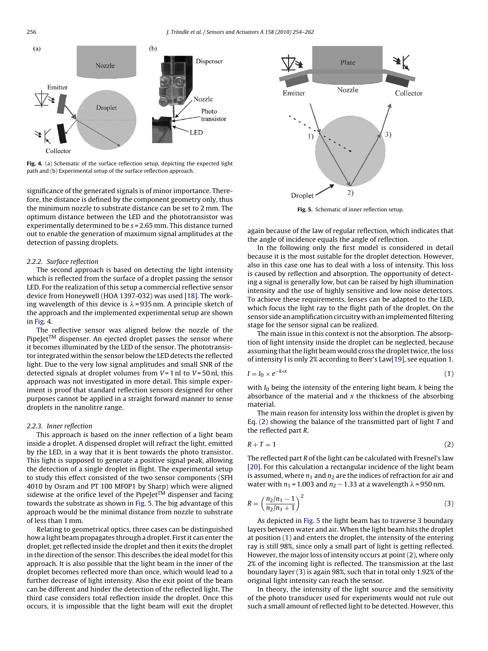

**Fig. 4.** (a) Schematic of the surface reflection setup, depicting the expected light path and (b) Experimental setup of the surface reflection approach.

significance of the generated signals is of minor importance. Therefore, the distance is defined by the component geometry only, thus the minimum nozzle to substrate distance can be set to 2 mm. The optimum distance between the LED and the phototransistor was experimentally determined to be s = 2.65 mm. This distance turned out to enable the generation of maximum signal amplitudes at the detection of passing droplets.

### 2.2.2. Surface reflection

The second approach is based on detecting the light intensity which is reflected from the surface of a droplet passing the sensor LED. For the realization of this setup a commercial reflective sensor device from Honeywell (HOA 1397-032) was used [\[18\]. T](#page-7-0)he working wavelength of this device is  $\lambda$  = 935 nm. A principle sketch of the approach and the implemented experimental setup are shown in Fig.  $4$ .

The reflective sensor was aligned below the nozzle of the PipeJet<sup>TM</sup> dispenser. An ejected droplet passes the sensor where it becomes illuminated by the LED of the sensor. The phototransistor integrated within the sensor below the LED detects the reflected light. Due to the very low signal amplitudes and small SNR of the detected signals at droplet volumes from  $V = 1$  nl to  $V = 50$  nl, this approach was not investigated in more detail. This simple experiment is proof that standard reflection sensors designed for other purposes cannot be applied in a straight forward manner to sense droplets in the nanolitre range.

### 2.2.3. Inner reflection

This approach is based on the inner reflection of a light beam inside a droplet. A dispensed droplet will refract the light, emitted by the LED, in a way that it is bent towards the photo transistor. This light is supposed to generate a positive signal peak, allowing the detection of a single droplet in flight. The experimental setup to study this effect consisted of the two sensor components (SFH 4010 by Osram and PT 100 MF0P1 by Sharp) which were aligned sidewise at the orifice level of the PipeJet<sup>TM</sup> dispenser and facing towards the substrate as shown in Fig. 5. The big advantage of this approach would be the minimal distance from nozzle to substrate of less than 1 mm.

Relating to geometrical optics, three cases can be distinguished how a light beam propagates through a droplet. First it can enter the droplet, get reflected inside the droplet and then it exits the droplet in the direction of the sensor. This describes the ideal model for this approach. It is also possible that the light beam in the inner of the droplet becomes reflected more than once, which would lead to a further decrease of light intensity. Also the exit point of the beam can be different and hinder the detection of the reflected light. The third case considers total reflection inside the droplet. Once this occurs, it is impossible that the light beam will exit the droplet



**Fig. 5.** Schematic of inner reflection setup.

again because of the law of regular reflection, which indicates that the angle of incidence equals the angle of reflection.

In the following only the first model is considered in detail because it is the most suitable for the droplet detection. However, also in this case one has to deal with a loss of intensity. This loss is caused by reflection and absorption. The opportunity of detecting a signal is generally low, but can be raised by high illumination intensity and the use of highly sensitive and low noise detectors. To achieve these requirements, lenses can be adapted to the LED, which focus the light ray to the flight path of the droplet. On the sensor side an amplification circuitry with an implemented filtering stage for the sensor signal can be realized.

The main issue in this context is not the absorption. The absorption of light intensity inside the droplet can be neglected, because assuming that the light beam would cross the droplet twice, the loss of intensity I is only 2% according to Beer's La[w\[19\], s](#page-7-0)ee equation 1.

$$
I = I_0 \times e^{-k \times x} \tag{1}
$$

with  $I_0$  being the intensity of the entering light beam,  $k$  being the absorbance of the material and  $x$  the thickness of the absorbing material.

The main reason for intensity loss within the droplet is given by Eq.  $(2)$  showing the balance of the transmitted part of light T and the reflected part R.

$$
R + T = 1 \tag{2}
$$

The reflected part R of the light can be calculated with Fresnel's law [\[20\]. F](#page-7-0)or this calculation a rectangular incidence of the light beam is assumed, where  $n_1$  and  $n_2$  are the indices of refraction for air and water with  $n_1$  = 1.003 and  $n_2$   $\sim$  1.33 at a wavelength  $\lambda$  = 950 nm.

$$
R = \left(\frac{n_2/n_1 - 1}{n_2/n_1 + 1}\right)^2\tag{3}
$$

As depicted in Fig. 5 the light beam has to traverse 3 boundary layers between water and air. When the light beam hits the droplet at position (1) and enters the droplet, the intensity of the entering ray is still 98%, since only a small part of light is getting reflected. However, the major loss of intensity occurs at point (2), where only 2% of the incoming light is reflected. The transmission at the last boundary layer (3) is again 98%, such that in total only 1.92% of the original light intensity can reach the sensor.

In theory, the intensity of the light source and the sensitivity of the photo transducer used for experiments would not rule out such a small amount of reflected light to be detected. However, this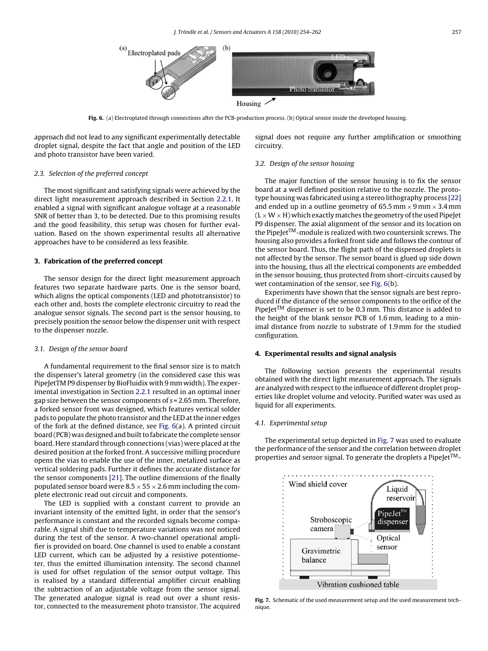<span id="page-3-0"></span>

**Fig. 6.** (a) Electroplated through connections after the PCB-production process. (b) Optical sensor inside the developed housing.

approach did not lead to any significant experimentally detectable droplet signal, despite the fact that angle and position of the LED and photo transistor have been varied.

### 2.3. Selection of the preferred concept

The most significant and satisfying signals were achieved by the direct light measurement approach described in Section [2.2.1. I](#page-1-0)t enabled a signal with significant analogue voltage at a reasonable SNR of better than 3, to be detected. Due to this promising results and the good feasibility, this setup was chosen for further evaluation. Based on the shown experimental results all alternative approaches have to be considered as less feasible.

### **3. Fabrication of the preferred concept**

The sensor design for the direct light measurement approach features two separate hardware parts. One is the sensor board, which aligns the optical components (LED and phototransistor) to each other and, hosts the complete electronic circuitry to read the analogue sensor signals. The second part is the sensor housing, to precisely position the sensor below the dispenser unit with respect to the dispenser nozzle.

### 3.1. Design of the sensor board

A fundamental requirement to the final sensor size is to match the dispenser's lateral geometry (in the considered case this was PipeJetTM P9 dispenser by BioFluidix with 9 mm width). The experimental investigation in Section [2.2.1](#page-1-0) resulted in an optimal inner gap size between the sensor components of  $s = 2.65$  mm. Therefore, a forked sensor front was designed, which features vertical solder pads to populate the photo transistor and the LED at the inner edges of the fork at the defined distance, see Fig. 6(a). A printed circuit board (PCB) was designed and built to fabricate the complete sensor board. Here standard through connections (vias) were placed at the desired position at the forked front. A successive milling procedure opens the vias to enable the use of the inner, metalized surface as vertical soldering pads. Further it defines the accurate distance for the sensor components [\[21\]. T](#page-7-0)he outline dimensions of the finally populated sensor board were  $8.5 \times 55 \times 2.6$  mm including the complete electronic read out circuit and components.

The LED is supplied with a constant current to provide an invariant intensity of the emitted light, in order that the sensor's performance is constant and the recorded signals become comparable. A signal shift due to temperature variations was not noticed during the test of the sensor. A two-channel operational amplifier is provided on board. One channel is used to enable a constant LED current, which can be adjusted by a resistive potentiometer, thus the emitted illumination intensity. The second channel is used for offset regulation of the sensor output voltage. This is realised by a standard differential amplifier circuit enabling the subtraction of an adjustable voltage from the sensor signal. The generated analogue signal is read out over a shunt resistor, connected to the measurement photo transistor. The acquired signal does not require any further amplification or smoothing circuitry.

### 3.2. Design of the sensor housing

The major function of the sensor housing is to fix the sensor board at a well defined position relative to the nozzle. The prototype housing was fabricated using a stereo lithography process [\[22\]](#page-7-0) and ended up in a outline geometry of 65.5 mm  $\times$  9 mm  $\times$  3.4 mm  $(L \times W \times H)$  which exactly matches the geometry of the used PipeJet P9 dispenser. The axial alignment of the sensor and its location on the PipeJet<sup>TM</sup>-module is realized with two countersink screws. The housing also provides a forked front side and follows the contour of the sensor board. Thus, the flight path of the dispensed droplets is not affected by the sensor. The sensor board is glued up side down into the housing, thus all the electrical components are embedded in the sensor housing, thus protected from short-circuits caused by wet contamination of the sensor, see Fig. 6(b).

Experiments have shown that the sensor signals are best reproduced if the distance of the sensor components to the orifice of the PipeJet<sup>TM</sup> dispenser is set to be 0.3 mm. This distance is added to the height of the blank sensor PCB of 1.6 mm, leading to a minimal distance from nozzle to substrate of 1.9 mm for the studied configuration.

### **4. Experimental results and signal analysis**

The following section presents the experimental results obtained with the direct light measurement approach. The signals are analyzed with respect to the influence of different droplet properties like droplet volume and velocity. Purified water was used as liquid for all experiments.

### 4.1. Experimental setup

The experimental setup depicted in Fig. 7 was used to evaluate the performance of the sensor and the correlation between droplet properties and sensor signal. To generate the droplets a PipeJet $TM -$ 



**Fig. 7.** Schematic of the used measurement setup and the used measurement technique.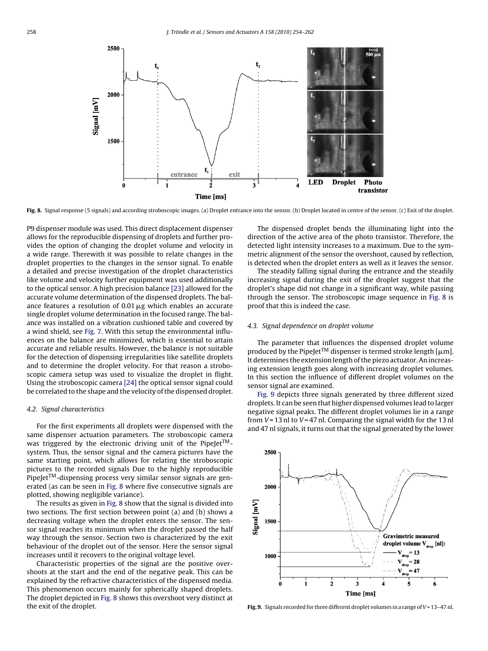<span id="page-4-0"></span>

Fig. 8. Signal response (5 signals) and according stroboscopic images. (a) Droplet entrance into the sensor. (b) Droplet located in centre of the sensor. (c) Exit of the droplet.

P9 dispenser module was used. This direct displacement dispenser allows for the reproducible dispensing of droplets and further provides the option of changing the droplet volume and velocity in a wide range. Therewith it was possible to relate changes in the droplet properties to the changes in the sensor signal. To enable a detailed and precise investigation of the droplet characteristics like volume and velocity further equipment was used additionally to the optical sensor. A high precision balance [\[23\]](#page-7-0) allowed for the accurate volume determination of the dispensed droplets. The balance features a resolution of 0.01  $\mu$ g which enables an accurate single droplet volume determination in the focused range. The balance was installed on a vibration cushioned table and covered by a wind shield, see [Fig. 7. W](#page-3-0)ith this setup the environmental influences on the balance are minimized, which is essential to attain accurate and reliable results. However, the balance is not suitable for the detection of dispensing irregularities like satellite droplets and to determine the droplet velocity. For that reason a stroboscopic camera setup was used to visualize the droplet in flight. Using the stroboscopic camera [\[24\]](#page-7-0) the optical sensor signal could be correlated to the shape and the velocity of the dispensed droplet.

### 4.2. Signal characteristics

For the first experiments all droplets were dispensed with the same dispenser actuation parameters. The stroboscopic camera was triggered by the electronic driving unit of the PipeJet<sup>TM</sup>system. Thus, the sensor signal and the camera pictures have the same starting point, which allows for relating the stroboscopic pictures to the recorded signals Due to the highly reproducible PipeJet<sup>TM</sup>-dispensing process very similar sensor signals are generated (as can be seen in Fig. 8 where five consecutive signals are plotted, showing negligible variance).

The results as given in Fig. 8 show that the signal is divided into two sections. The first section between point (a) and (b) shows a decreasing voltage when the droplet enters the sensor. The sensor signal reaches its minimum when the droplet passed the half way through the sensor. Section two is characterized by the exit behaviour of the droplet out of the sensor. Here the sensor signal increases until it recovers to the original voltage level.

Characteristic properties of the signal are the positive overshoots at the start and the end of the negative peak. This can be explained by the refractive characteristics of the dispensed media. This phenomenon occurs mainly for spherically shaped droplets. The droplet depicted in Fig. 8 shows this overshoot very distinct at the exit of the droplet.

The dispensed droplet bends the illuminating light into the direction of the active area of the photo transistor. Therefore, the detected light intensity increases to a maximum. Due to the symmetric alignment of the sensor the overshoot, caused by reflection, is detected when the droplet enters as well as it leaves the sensor.

The steadily falling signal during the entrance and the steadily increasing signal during the exit of the droplet suggest that the droplet's shape did not change in a significant way, while passing through the sensor. The stroboscopic image sequence in Fig. 8 is proof that this is indeed the case.

#### 4.3. Signal dependence on droplet volume

The parameter that influences the dispensed droplet volume produced by the PipeJet $^{\text{\tiny{\textsf{TM}}}}$  dispenser is termed stroke length [µm]. It determines the extension length of the piezo actuator. An increasing extension length goes along with increasing droplet volumes. In this section the influence of different droplet volumes on the sensor signal are examined.

Fig. 9 depicts three signals generated by three different sized droplets. It can be seen that higher dispensed volumes lead to larger negative signal peaks. The different droplet volumes lie in a range from  $V = 13$  nl to  $V = 47$  nl. Comparing the signal width for the 13 nl and 47 nl signals, it turns out that the signal generated by the lower



Fig. 9. Signals recorded for three different droplet volumes in a range of V = 13-47 nl.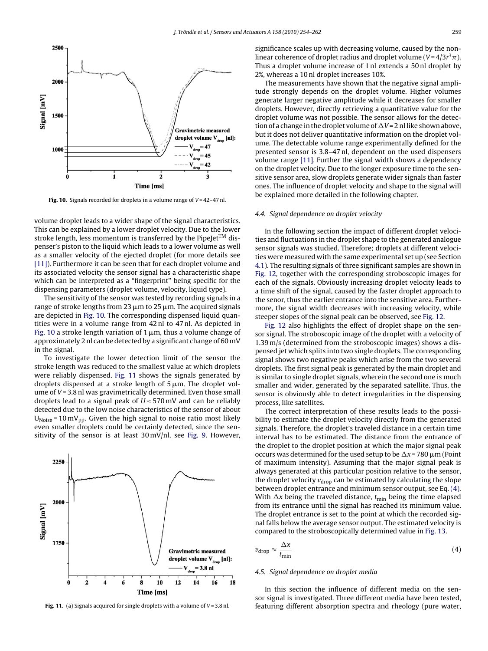<span id="page-5-0"></span>

Fig. 10. Signals recorded for droplets in a volume range of  $V = 42-47$  nl.

volume droplet leads to a wider shape of the signal characteristics. This can be explained by a lower droplet velocity. Due to the lower stroke length, less momentum is transferred by the PipeJet $^{TM}$  dispenser's piston to the liquid which leads to a lower volume as well as a smaller velocity of the ejected droplet (for more details see [\[11\]\).](#page-7-0) Furthermore it can be seen that for each droplet volume and its associated velocity the sensor signal has a characteristic shape which can be interpreted as a "fingerprint" being specific for the dispensing parameters (droplet volume, velocity, liquid type).

The sensitivity of the sensor was tested by recording signals in a range of stroke lengths from 23  $\mu$ m to 25  $\mu$ m. The acquired signals are depicted in Fig. 10. The corresponding dispensed liquid quantities were in a volume range from 42 nl to 47 nl. As depicted in Fig. 10 a stroke length variation of 1  $\mu$ m, thus a volume change of approximately 2 nl can be detected by a significant change of 60 mV in the signal.

To investigate the lower detection limit of the sensor the stroke length was reduced to the smallest value at which droplets were reliably dispensed. Fig. 11 shows the signals generated by droplets dispensed at a stroke length of  $5\,\rm \mu m$ . The droplet volume of  $V = 3.8$  nl was gravimetrically determined. Even those small droplets lead to a signal peak of  $U \approx 570$  mV and can be reliably detected due to the low noise characteristics of the sensor of about  $U_{\text{Noise}}$  = 10 m $V_{\text{pp}}$ . Given the high signal to noise ratio most likely even smaller droplets could be certainly detected, since the sensitivity of the sensor is at least 30 mV/nl, see [Fig. 9.](#page-4-0) However,



**Fig. 11.** (a) Signals acquired for single droplets with a volume of  $V = 3.8$  nl.

significance scales up with decreasing volume, caused by the nonlinear coherence of droplet radius and droplet volume ( $V = 4/3r^3\pi$ ). Thus a droplet volume increase of 1 nl extends a 50 nl droplet by 2%, whereas a 10 nl droplet increases 10%.

The measurements have shown that the negative signal amplitude strongly depends on the droplet volume. Higher volumes generate larger negative amplitude while it decreases for smaller droplets. However, directly retrieving a quantitative value for the droplet volume was not possible. The sensor allows for the detection of a change in the droplet volume of  $\Delta V = 2$  nl like shown above, but it does not deliver quantitative information on the droplet volume. The detectable volume range experimentally defined for the presented sensor is 3.8–47 nl, dependent on the used dispensers volume range [\[11\]. F](#page-7-0)urther the signal width shows a dependency on the droplet velocity. Due to the longer exposure time to the sensitive sensor area, slow droplets generate wider signals than faster ones. The influence of droplet velocity and shape to the signal will be explained more detailed in the following chapter.

### 4.4. Signal dependence on droplet velocity

In the following section the impact of different droplet velocities and fluctuations in the droplet shape to the generated analogue sensor signals was studied. Therefore; droplets at different velocities were measured with the same experimental set up (see Section [4.1\).](#page-3-0) The resulting signals of three significant samples are shown in [Fig. 12,](#page-6-0) together with the corresponding stroboscopic images for each of the signals. Obviously increasing droplet velocity leads to a time shift of the signal, caused by the faster droplet approach to the senor, thus the earlier entrance into the sensitive area. Furthermore, the signal width decreases with increasing velocity, while steeper slopes of the signal peak can be observed, see [Fig. 12.](#page-6-0)

[Fig. 12](#page-6-0) also highlights the effect of droplet shape on the sensor signal. The stroboscopic image of the droplet with a velocity of 1.39 m/s (determined from the stroboscopic images) shows a dispensed jet which splits into two single droplets. The corresponding signal shows two negative peaks which arise from the two several droplets. The first signal peak is generated by the main droplet and is similar to single droplet signals, wherein the second one is much smaller and wider, generated by the separated satellite. Thus, the sensor is obviously able to detect irregularities in the dispensing process, like satellites.

The correct interpretation of these results leads to the possibility to estimate the droplet velocity directly from the generated signals. Therefore, the droplet's traveled distance in a certain time interval has to be estimated. The distance from the entrance of the droplet to the droplet position at which the major signal peak occurs was determined for the used setup to be  $\Delta x$  = 780  $\mu$ m (Point of maximum intensity). Assuming that the major signal peak is always generated at this particular position relative to the sensor, the droplet velocity  $v_{\rm drop}$  can be estimated by calculating the slope between droplet entrance and minimum sensor output, see Eq. (4). With  $\Delta x$  being the traveled distance,  $t_{\min}$  being the time elapsed from its entrance until the signal has reached its minimum value. The droplet entrance is set to the point at which the recorded signal falls below the average sensor output. The estimated velocity is compared to the stroboscopically determined value in [Fig. 13.](#page-6-0)

$$
\nu_{\rm drop} \approx \frac{\Delta x}{t_{\rm min}} \tag{4}
$$

### 4.5. Signal dependence on droplet media

In this section the influence of different media on the sensor signal is investigated. Three different media have been tested, featuring different absorption spectra and rheology (pure water,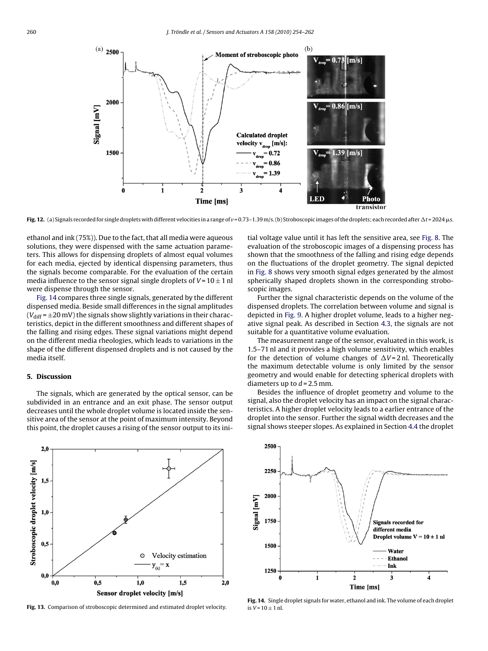<span id="page-6-0"></span>

**Fig. 12.** (a) Signals recorded for single droplets with different velocities in a range of  $\nu$  = 0.73–1.39 m/s. (b) Stroboscopic images of the droplets; each recorded after  $\Delta t$  = 2024  $\mu$ s.

ethanol and ink (75%)). Due to the fact, that all media were aqueous solutions, they were dispensed with the same actuation parameters. This allows for dispensing droplets of almost equal volumes for each media, ejected by identical dispensing parameters, thus the signals become comparable. For the evaluation of the certain media influence to the sensor signal single droplets of  $V = 10 \pm 1$  nl were dispense through the sensor.

Fig. 14 compares three single signals, generated by the different dispensed media. Beside small differences in the signal amplitudes ( $V_{\text{diff}}$  =  $\pm$ 20 mV) the signals show slightly variations in their characteristics, depict in the different smoothness and different shapes of the falling and rising edges. These signal variations might depend on the different media rheologies, which leads to variations in the shape of the different dispensed droplets and is not caused by the media itself.

### **5. Discussion**

The signals, which are generated by the optical sensor, can be subdivided in an entrance and an exit phase. The sensor output decreases until the whole droplet volume is located inside the sensitive area of the sensor at the point of maximum intensity. Beyond this point, the droplet causes a rising of the sensor output to its ini-



**Fig. 13.** Comparison of stroboscopic determined and estimated droplet velocity.

tial voltage value until it has left the sensitive area, see [Fig. 8. T](#page-4-0)he evaluation of the stroboscopic images of a dispensing process has shown that the smoothness of the falling and rising edge depends on the fluctuations of the droplet geometry. The signal depicted in [Fig. 8](#page-4-0) shows very smooth signal edges generated by the almost spherically shaped droplets shown in the corresponding stroboscopic images.

Further the signal characteristic depends on the volume of the dispensed droplets. The correlation between volume and signal is depicted in [Fig. 9. A](#page-4-0) higher droplet volume, leads to a higher negative signal peak. As described in Section [4.3, t](#page-4-0)he signals are not suitable for a quantitative volume evaluation.

The measurement range of the sensor, evaluated in this work, is 1.5–71 nl and it provides a high volume sensitivity, which enables for the detection of volume changes of  $\Delta V = 2$  nl. Theoretically the maximum detectable volume is only limited by the sensor geometry and would enable for detecting spherical droplets with diameters up to  $d = 2.5$  mm.

Besides the influence of droplet geometry and volume to the signal, also the droplet velocity has an impact on the signal characteristics. A higher droplet velocity leads to a earlier entrance of the droplet into the sensor. Further the signal width decreases and the signal shows steeper slopes. As explained in Section [4.4](#page-5-0) the droplet



**Fig. 14.** Single droplet signals for water, ethanol and ink. The volume of each droplet is  $V = 10 \pm 1$  nl.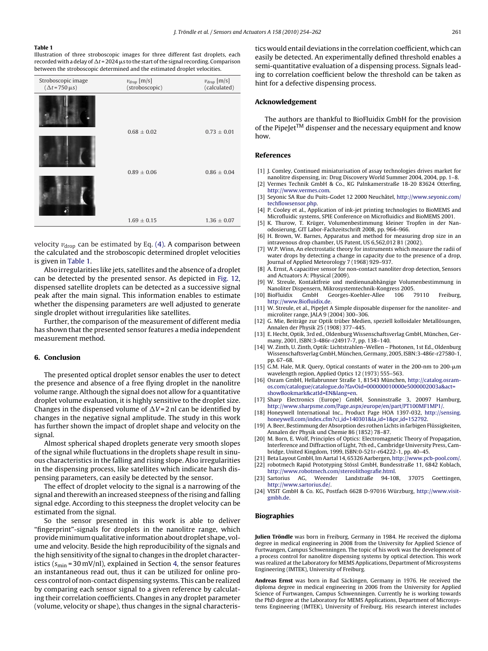#### <span id="page-7-0"></span>**Table 1**

Illustration of three stroboscopic images for three different fast droplets, each recorded with a delay of  $\Delta t$  = 2024  $\mu$ s to the start of the signal recording. Comparison between the stroboscopic determined and the estimated droplet velocities.

| Stroboscopic image<br>$(\Delta t = 750 \,\mu s)$ | $v_{drop}$ [m/s]<br>(stroboscopic) | $v_{drop}$ [m/s]<br>(calculated) |
|--------------------------------------------------|------------------------------------|----------------------------------|
|                                                  |                                    |                                  |
|                                                  | $0.68 \pm 0.02$                    | $0.73 \pm 0.01$                  |
|                                                  | $0.89 \pm 0.06$                    | $0.86 \pm 0.04$                  |
|                                                  | $1.69 \pm 0.15$                    | $1.36 \pm 0.07$                  |

velocity  $v_{\text{drop}}$  can be estimated by Eq. [\(4\). A](#page-5-0) comparison between the calculated and the stroboscopic determined droplet velocities is given in Table 1.

Also irregularities like jets, satellites and the absence of a droplet can be detected by the presented sensor. As depicted in [Fig. 12,](#page-6-0) dispensed satellite droplets can be detected as a successive signal peak after the main signal. This information enables to estimate whether the dispensing parameters are well adjusted to generate single droplet without irregularities like satellites.

Further, the comparison of the measurement of different media has shown that the presented sensor features a media independent measurement method.

### **6. Conclusion**

The presented optical droplet sensor enables the user to detect the presence and absence of a free flying droplet in the nanolitre volume range. Although the signal does not allow for a quantitative droplet volume evaluation, it is highly sensitive to the droplet size. Changes in the dispensed volume of  $\Delta V = 2$  nl can be identified by changes in the negative signal amplitude. The study in this work has further shown the impact of droplet shape and velocity on the signal.

Almost spherical shaped droplets generate very smooth slopes of the signal while fluctuations in the droplets shape result in sinuous characteristics in the falling and rising slope. Also irregularities in the dispensing process, like satellites which indicate harsh dispensing parameters, can easily be detected by the sensor.

The effect of droplet velocity to the signal is a narrowing of the signal and therewith an increased steepness of the rising and falling signal edge. According to this steepness the droplet velocity can be estimated from the signal.

So the sensor presented in this work is able to deliver "fingerprint"-signals for droplets in the nanolitre range, which provideminimum qualitative information about droplet shape, volume and velocity. Beside the high reproducibility of the signals and the high sensitivity of the signal to changes in the droplet characteristics ( $s_{\text{min}}$  = 30 mV/nl), explained in Section [4, t](#page-3-0)he sensor features an instantaneous read out, thus it can be utilized for online process control of non-contact dispensing systems. This can be realized by comparing each sensor signal to a given reference by calculating their correlation coefficients. Changes in any droplet parameter (volume, velocity or shape), thus changes in the signal characteristics would entail deviations in the correlation coefficient, which can easily be detected. An experimentally defined threshold enables a semi-quantitative evaluation of a dispensing process. Signals leading to correlation coefficient below the threshold can be taken as hint for a defective dispensing process.

### **Acknowledgement**

The authors are thankful to BioFluidix GmbH for the provision of the PipeJet<sup>TM</sup> dispenser and the necessary equipment and know how.

### **References**

- [1] J. Comley, Continued miniaturisation of assay technologies drives market for nanolitre dispensing, in: Drug Discovery World Summer 2004, 2004, pp. 1–8.
- Vermes Technik GmbH & Co., KG Palnkamerstraße 18-20 83624 Otterfing, [http://www.vermes.com](http://www.vermes.com/).
- [3] Seyonic SA Rue du Puits-Godet 12 2000 Neuchâtel, [http://www.seyonic.com/](http://www.seyonic.com/techflowsensor.php) [techflowsensor.php.](http://www.seyonic.com/techflowsensor.php)
- [4] P. Cooley et al., Application of ink-jet printing technologies to BioMEMS and Microfluidic systems, SPIE Conference on Microfluidics and BioMEMS 2001.
- K. Thurow, T. Krüger, Volumenbestimmung kleiner Tropfen in der Nanodosierung, GIT Labor-Fachzeitschrift 2008, pp. 964–966.
- [6] H. Brown, W. Barnes, Apparatus and method for measuring drop size in an intravenous drop chamber, US Patent, US 6,562,012 B1 (2002).
- [7] W.P. Winn, An electrostatic theory for instruments which measure the radii of water drops by detecting a change in capacity due to the presence of a drop, Journal of Applied Meteorology 7 (1968) 929–937.
- [8] A. Ernst, A capacitive sensor for non-contact nanoliter drop detection, Sensors and Actuators A: Physical (2009).
- [9] W. Streule, Kontaktfreie und medienunabhängige Volumenbestimmung in Nanoliter Dispensern, Mikrosystemtechnik-Kongress 2005.
- [10] BioFluidix GmbH Georges-Koehler-Allee 106 79110 Freiburg, [http://www.Biofluidix.de](http://www.biofluidix.de/).
- [11] W. Streule, et al., PipeJet A Simple disposable dispenser for the nanoliter- and microliter range, JALA 9 (2004) 300–306.
- [12] G. Mie, Beiträge zur Optik trüber Medien, speziell kolloidaler Metallösungen, Annalen der Physik 25 (1908) 377–445.
- [13] E. Hecht, Optik, 3rd ed., Oldenburg Wissenschaftsverlag GmbH, München, Germany, 2001, ISBN:3-486r-r24917-7, pp. 138–140.
- [14] W. Zinth, U. Zinth, Optik: Lichtstrahlen–Wellen Photonen, 1st Ed., Oldenburg Wissenschaftsverlag GmbH, München, Germany, 2005, ISBN:3-486r-r27580-1, pp. 67–68.
- [15] G.M. Hale, M.R. Query, Optical constants of water in the 200-nm to  $200$ - $\mu$ m wavelength region, Applied Optics 12 (1973) 555–563.
- [16] Osram GmbH, Hellabrunner Straße 1, 81543 München, [http://catalog.osram](http://catalog.osram-os.com/catalogue/catalogue.do%3FfavOid=000000010000e5000002003a%26act=showBookmark%26catId=EN%26lang=en)[os.com/catalogue/catalogue.do?favOid=000000010000e5000002003a&act=](http://catalog.osram-os.com/catalogue/catalogue.do%3FfavOid=000000010000e5000002003a%26act=showBookmark%26catId=EN%26lang=en) showBookmark&catId=EN&lang=en.
- [17] Sharp Electronics (Europe) GmbH, Sonninstraße 3, 20097 Hamburg, [http://www.sharpsme.com/Page.aspx/europe/en/part/PT100MF1MP1/.](http://www.sharpsme.com/Page.aspx/europe/en/part/PT100MF1MP1/)
- [18] Honeywell International Inc., Product Page HOA 1397-032, [http://sensing.](http://sensing.honeywell.com/index.cfm%3Fci_id=140301%26la_id=1%26pr_id=152792) [honeywell.com/index.cfm?ci](http://sensing.honeywell.com/index.cfm%3Fci_id=140301%26la_id=1%26pr_id=152792) id=140301&la id=1&pr id=152792.
- [19] A. Beer, Bestimmung der Absorption des rothen Lichts in farbigen Flüssigkeiten, Annalen der Physik und Chemie 86 (1852) 78–87.
- [20] M. Born, E. Wolf, Principles of Optics: Electromagnetic Theory of Propagation, Interference and Diffraction of Light, 7th ed., Cambridge University Press, Cambridge, United Kingdom, 1999, ISBN:0-521r-r64222-1, pp. 40–45.
- [21] Beta Layout GmbH, Im Aartal 14, 65326 Aarbergen, <http://www.pcb-pool.com/>. [22] robotmech Rapid Prototyping Stössl GmbH, Bundesstraße 11, 6842 Koblach,
- <http://www.robotmech.com/stereolithografie.html>. [23] Sartorius AG, Weender Landstraße 94-108, 37075 Goettingen,
- <http://www.sartorius.de/>.
- [24] VISIT GmbH & Co. KG, Postfach 6628 D-97016 Würzburg, [http://www.visit](http://www.visit-gmbh.de/)gmbh.de.

### **Biographies**

**Julien Tröndle** was born in Freiburg, Germany in 1984. He received the diploma degree in medical engineering in 2008 from the University for Applied Science of Furtwangen, Campus Schwenningen. The topic of his work was the development of a process control for nanolitre dispensing systems by optical detection. This work was realized at the Laboratory for MEMS Applications, Department of Microsystems Engineering (IMTEK), University of Freiburg.

**Andreas Ernst** was born in Bad Säckingen, Germany in 1976. He received the diploma degree in medical engineering in 2006 from the University for Applied Science of Furtwangen, Campus Schwenningen. Currently he is working towards the PhD degree at the Laboratory for MEMS Applications, Department of Microsystems Engineering (IMTEK), University of Freiburg. His research interest includes